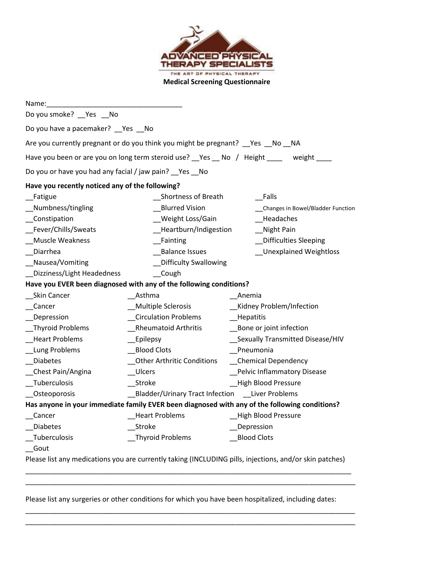

| Name:                                                                                                   |                                                                 |                                   |  |  |
|---------------------------------------------------------------------------------------------------------|-----------------------------------------------------------------|-----------------------------------|--|--|
| Do you smoke? _Yes _No                                                                                  |                                                                 |                                   |  |  |
| Do you have a pacemaker? __ Yes __ No                                                                   |                                                                 |                                   |  |  |
| Are you currently pregnant or do you think you might be pregnant? __ Yes __ No __ NA                    |                                                                 |                                   |  |  |
| Have you been or are you on long term steroid use? Yes _ No / Height ____ weight ____                   |                                                                 |                                   |  |  |
| Do you or have you had any facial / jaw pain? __ Yes __ No                                              |                                                                 |                                   |  |  |
| Have you recently noticed any of the following?                                                         |                                                                 |                                   |  |  |
| Fatigue                                                                                                 | Shortness of Breath                                             | Falls                             |  |  |
| _Numbness/tingling                                                                                      | <b>Blurred Vision</b>                                           | Changes in Bowel/Bladder Function |  |  |
| _Constipation                                                                                           | Weight Loss/Gain                                                | Headaches                         |  |  |
| Fever/Chills/Sweats                                                                                     | Heartburn/Indigestion                                           | _Night Pain                       |  |  |
| <b>Muscle Weakness</b>                                                                                  | __Fainting                                                      | Difficulties Sleeping             |  |  |
| Diarrhea                                                                                                | <b>Balance Issues</b>                                           | <b>Unexplained Weightloss</b>     |  |  |
| Nausea/Vomiting                                                                                         | Difficulty Swallowing                                           |                                   |  |  |
| Dizziness/Light Headedness                                                                              | Cough                                                           |                                   |  |  |
| Have you EVER been diagnosed with any of the following conditions?                                      |                                                                 |                                   |  |  |
| Skin Cancer                                                                                             | Asthma                                                          | Anemia                            |  |  |
| Cancer                                                                                                  | Multiple Sclerosis                                              | Kidney Problem/Infection          |  |  |
| <b>Depression</b>                                                                                       | <b>Circulation Problems</b>                                     | __Hepatitis                       |  |  |
| Thyroid Problems                                                                                        | <b>Rheumatoid Arthritis</b>                                     | __Bone or joint infection         |  |  |
| Heart Problems                                                                                          | __Epilepsy                                                      | Sexually Transmitted Disease/HIV  |  |  |
| Lung Problems                                                                                           | <b>Blood Clots</b>                                              | Pneumonia                         |  |  |
| Diabetes                                                                                                | Other Arthritic Conditions                                      | _Chemical Dependency              |  |  |
| Chest Pain/Angina                                                                                       | <b>Ulcers</b>                                                   | Pelvic Inflammatory Disease       |  |  |
| Tuberculosis                                                                                            | Stroke                                                          | High Blood Pressure               |  |  |
| _Osteoporosis                                                                                           | Bladder/Urinary Tract Infection __ Liver Problems               |                                   |  |  |
| Has anyone in your immediate family EVER been diagnosed with any of the following conditions?           |                                                                 |                                   |  |  |
| Cancer                                                                                                  | <b>Example 19 Heart Problems Example 20 High Blood Pressure</b> |                                   |  |  |
| <b>Diabetes</b>                                                                                         | Stroke                                                          | Depression                        |  |  |
| Tuberculosis                                                                                            | <b>Thyroid Problems</b>                                         | <b>Blood Clots</b>                |  |  |
| Gout                                                                                                    |                                                                 |                                   |  |  |
| Please list any medications you are currently taking (INCLUDING pills, injections, and/or skin patches) |                                                                 |                                   |  |  |
|                                                                                                         |                                                                 |                                   |  |  |

Please list any surgeries or other conditions for which you have been hospitalized, including dates:

\_\_\_\_\_\_\_\_\_\_\_\_\_\_\_\_\_\_\_\_\_\_\_\_\_\_\_\_\_\_\_\_\_\_\_\_\_\_\_\_\_\_\_\_\_\_\_\_\_\_\_\_\_\_\_\_\_\_\_\_\_\_\_\_\_\_\_\_\_\_\_\_\_\_\_\_\_\_\_\_\_\_\_\_\_

\_\_\_\_\_\_\_\_\_\_\_\_\_\_\_\_\_\_\_\_\_\_\_\_\_\_\_\_\_\_\_\_\_\_\_\_\_\_\_\_\_\_\_\_\_\_\_\_\_\_\_\_\_\_\_\_\_\_\_\_\_\_\_\_\_\_\_\_\_\_\_\_\_\_\_\_\_\_\_\_\_\_\_\_\_ \_\_\_\_\_\_\_\_\_\_\_\_\_\_\_\_\_\_\_\_\_\_\_\_\_\_\_\_\_\_\_\_\_\_\_\_\_\_\_\_\_\_\_\_\_\_\_\_\_\_\_\_\_\_\_\_\_\_\_\_\_\_\_\_\_\_\_\_\_\_\_\_\_\_\_\_\_\_\_\_\_\_\_\_\_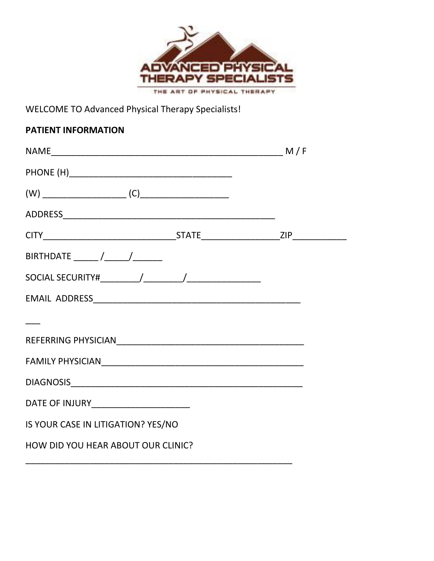

WELCOME TO Advanced Physical Therapy Specialists!

# **PATIENT INFORMATION**

| BIRTHDATE ______/_____/_______           |  |  |  |  |
|------------------------------------------|--|--|--|--|
|                                          |  |  |  |  |
|                                          |  |  |  |  |
|                                          |  |  |  |  |
|                                          |  |  |  |  |
|                                          |  |  |  |  |
|                                          |  |  |  |  |
| DATE OF INJURY__________________________ |  |  |  |  |
| IS YOUR CASE IN LITIGATION? YES/NO       |  |  |  |  |
| HOW DID YOU HEAR ABOUT OUR CLINIC?       |  |  |  |  |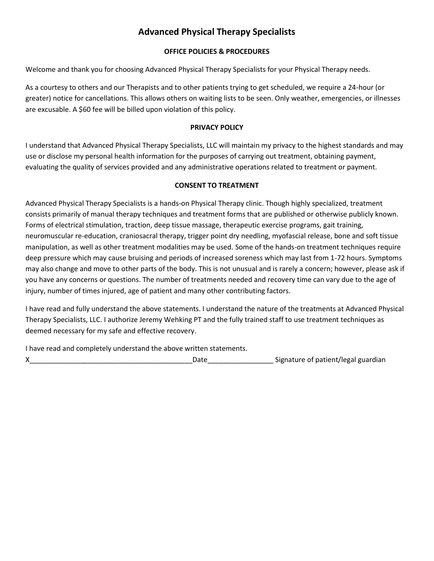# **Advanced Physical Therapy Specialists**

### **OFFICE POLICIES & PROCEDURES**

Welcome and thank you for choosing Advanced Physical Therapy Specialists for your Physical Therapy needs.

As a courtesy to others and our Therapists and to other patients trying to get scheduled, we require a 24-hour (or greater) notice for cancellations. This allows others on waiting lists to be seen. Only weather, emergencies, or illnesses are excusable. A \$60 fee will be billed upon violation of this policy.

#### **PRIVACY POLICY**

I understand that Advanced Physical Therapy Specialists, LLC will maintain my privacy to the highest standards and may use or disclose my personal health information for the purposes of carrying out treatment, obtaining payment, evaluating the quality of services provided and any administrative operations related to treatment or payment.

### **CONSENT TO TREATMENT**

Advanced Physical Therapy Specialists is a hands-on Physical Therapy clinic. Though highly specialized, treatment consists primarily of manual therapy techniques and treatment forms that are published or otherwise publicly known. Forms of electrical stimulation, traction, deep tissue massage, therapeutic exercise programs, gait training, neuromuscular re-education, craniosacral therapy, trigger point dry needling, myofascial release, bone and soft tissue manipulation, as well as other treatment modalities may be used. Some of the hands-on treatment techniques require deep pressure which may cause bruising and periods of increased soreness which may last from 1-72 hours. Symptoms may also change and move to other parts of the body. This is not unusual and is rarely a concern; however, please ask if you have any concerns or questions. The number of treatments needed and recovery time can vary due to the age of injury, number of times injured, age of patient and many other contributing factors.

I have read and fully understand the above statements. I understand the nature of the treatments at Advanced Physical Therapy Specialists, LLC. I authorize Jeremy Wehking PT and the fully trained staff to use treatment techniques as deemed necessary for my safe and effective recovery.

I have read and completely understand the above written statements.

X\_\_\_\_\_\_\_\_\_\_\_\_\_\_\_\_\_\_\_\_\_\_\_\_\_\_\_\_\_\_\_\_\_\_\_\_\_\_\_\_\_\_Date\_\_\_\_\_\_\_\_\_\_\_\_\_\_\_\_\_ Signature of patient/legal guardian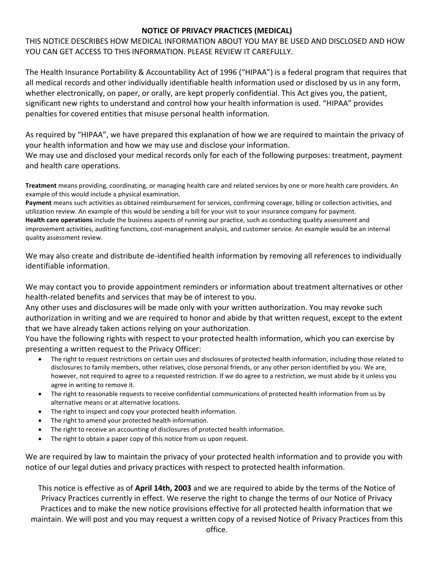## **NOTICE OF PRIVACY PRACTICES (MEDICAL)**

THIS NOTICE DESCRIBES HOW MEDICAL INFORMATION ABOUT YOU MAY BE USED AND DISCLOSED AND HOW YOU CAN GET ACCESS TO THIS INFORMATION. PLEASE REVIEW IT CAREFULLY.

The Health Insurance Portability & Accountability Act of 1996 ("HIPAA") is a federal program that requires that all medical records and other individually identifiable health information used or disclosed by us in any form, whether electronically, on paper, or orally, are kept properly confidential. This Act gives you, the patient, significant new rights to understand and control how your health information is used. "HIPAA" provides penalties for covered entities that misuse personal health information.

As required by "HIPAA", we have prepared this explanation of how we are required to maintain the privacy of your health information and how we may use and disclose your information.

We may use and disclosed your medical records only for each of the following purposes: treatment, payment and health care operations.

**Treatment** means providing, coordinating, or managing health care and related services by one or more health care providers. An example of this would include a physical examination.

**Payment** means such activities as obtained reimbursement for services, confirming coverage, billing or collection activities, and utilization review. An example of this would be sending a bill for your visit to your insurance company for payment. **Health care operations** include the business aspects of running our practice, such as conducting quality assessment and improvement activities, auditing functions, cost-management analysis, and customer service. An example would be an internal quality assessment review.

We may also create and distribute de-identified health information by removing all references to individually identifiable information.

We may contact you to provide appointment reminders or information about treatment alternatives or other health-related benefits and services that may be of interest to you.

Any other uses and disclosures will be made only with your written authorization. You may revoke such authorization in writing and we are required to honor and abide by that written request, except to the extent that we have already taken actions relying on your authorization.

You have the following rights with respect to your protected health information, which you can exercise by presenting a written request to the Privacy Officer:

- The right to request restrictions on certain uses and disclosures of protected health information, including those related to disclosures to family members, other relatives, close personal friends, or any other person identified by you. We are, however, not required to agree to a requested restriction. If we do agree to a restriction, we must abide by it unless you agree in writing to remove it.
- The right to reasonable requests to receive confidential communications of protected health information from us by alternative means or at alternative locations.
- The right to inspect and copy your protected health information.
- The right to amend your protected health information.
- The right to receive an accounting of disclosures of protected health information.
- The right to obtain a paper copy of this notice from us upon request.

We are required by law to maintain the privacy of your protected health information and to provide you with notice of our legal duties and privacy practices with respect to protected health information.

This notice is effective as of **April 14th, 2003** and we are required to abide by the terms of the Notice of Privacy Practices currently in effect. We reserve the right to change the terms of our Notice of Privacy Practices and to make the new notice provisions effective for all protected health information that we maintain. We will post and you may request a written copy of a revised Notice of Privacy Practices from this